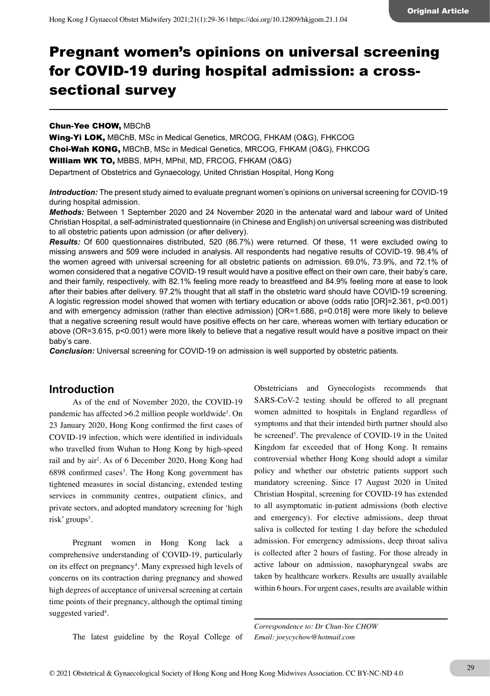# Pregnant women's opinions on universal screening for COVID-19 during hospital admission: a crosssectional survey

#### Chun-Yee CHOW, MBChB

Wing-Yi LOK, MBChB, MSc in Medical Genetics, MRCOG, FHKAM (O&G), FHKCOG Choi-Wah KONG, MBChB, MSc in Medical Genetics, MRCOG, FHKAM (O&G), FHKCOG William WK TO, MBBS, MPH, MPhil, MD, FRCOG, FHKAM (O&G) Department of Obstetrics and Gynaecology, United Christian Hospital, Hong Kong

*Introduction:* The present study aimed to evaluate pregnant women's opinions on universal screening for COVID-19 during hospital admission.

*Methods:* Between 1 September 2020 and 24 November 2020 in the antenatal ward and labour ward of United Christian Hospital, a self-administrated questionnaire (in Chinese and English) on universal screening was distributed to all obstetric patients upon admission (or after delivery).

*Results:* Of 600 questionnaires distributed, 520 (86.7%) were returned. Of these, 11 were excluded owing to missing answers and 509 were included in analysis. All respondents had negative results of COVID-19. 98.4% of the women agreed with universal screening for all obstetric patients on admission. 69.0%, 73.9%, and 72.1% of women considered that a negative COVID-19 result would have a positive effect on their own care, their baby's care, and their family, respectively, with 82.1% feeling more ready to breastfeed and 84.9% feeling more at ease to look after their babies after delivery. 97.2% thought that all staff in the obstetric ward should have COVID-19 screening. A logistic regression model showed that women with tertiary education or above (odds ratio [OR]=2.361, p<0.001) and with emergency admission (rather than elective admission) [OR=1.686, p=0.018] were more likely to believe that a negative screening result would have positive effects on her care, whereas women with tertiary education or above (OR=3.615, p<0.001) were more likely to believe that a negative result would have a positive impact on their baby's care.

*Conclusion:* Universal screening for COVID-19 on admission is well supported by obstetric patients.

## **Introduction**

As of the end of November 2020, the COVID-19 pandemic has affected >6.2 million people worldwide<sup>1</sup>. On 23 January 2020, Hong Kong confirmed the first cases of COVID-19 infection, which were identified in individuals who travelled from Wuhan to Hong Kong by high-speed rail and by air<sup>2</sup>. As of 6 December 2020, Hong Kong had  $6898$  confirmed cases<sup>3</sup>. The Hong Kong government has tightened measures in social distancing, extended testing services in community centres, outpatient clinics, and private sectors, and adopted mandatory screening for 'high risk' groups<sup>3</sup>.

Pregnant women in Hong Kong lack a comprehensive understanding of COVID-19, particularly on its effect on pregnancy<sup>4</sup>. Many expressed high levels of concerns on its contraction during pregnancy and showed high degrees of acceptance of universal screening at certain time points of their pregnancy, although the optimal timing suggested varied<sup>4</sup>.

Obstetricians and Gynecologists recommends that SARS-CoV-2 testing should be offered to all pregnant women admitted to hospitals in England regardless of symptoms and that their intended birth partner should also be screened<sup>5</sup>. The prevalence of COVID-19 in the United Kingdom far exceeded that of Hong Kong. It remains controversial whether Hong Kong should adopt a similar policy and whether our obstetric patients support such mandatory screening. Since 17 August 2020 in United Christian Hospital, screening for COVID-19 has extended to all asymptomatic in-patient admissions (both elective and emergency). For elective admissions, deep throat saliva is collected for testing 1 day before the scheduled admission. For emergency admissions, deep throat saliva is collected after 2 hours of fasting. For those already in active labour on admission, nasopharyngeal swabs are taken by healthcare workers. Results are usually available within 6 hours. For urgent cases, results are available within

*Correspondence to: Dr Chun-Yee CHOW Email: joeycychow@hotmail.com* The latest guideline by the Royal College of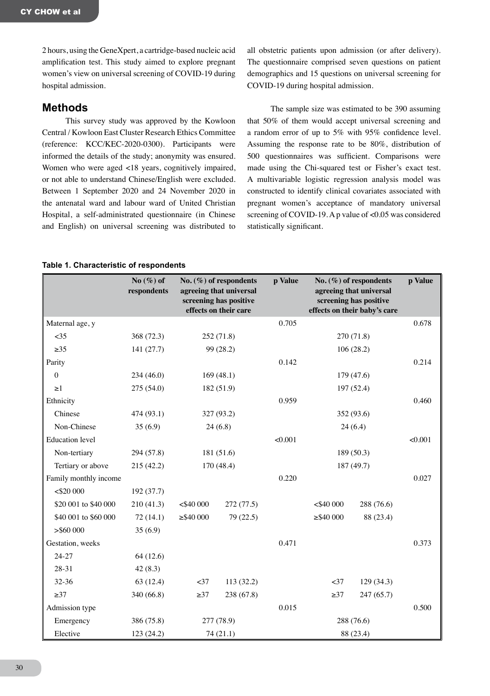2 hours, using the GeneXpert, a cartridge-based nucleic acid amplification test. This study aimed to explore pregnant women's view on universal screening of COVID-19 during hospital admission.

## **Methods**

This survey study was approved by the Kowloon Central / Kowloon East Cluster Research Ethics Committee (reference: KCC/KEC-2020-0300). Participants were informed the details of the study; anonymity was ensured. Women who were aged <18 years, cognitively impaired, or not able to understand Chinese/English were excluded. Between 1 September 2020 and 24 November 2020 in the antenatal ward and labour ward of United Christian Hospital, a self-administrated questionnaire (in Chinese and English) on universal screening was distributed to

all obstetric patients upon admission (or after delivery). The questionnaire comprised seven questions on patient demographics and 15 questions on universal screening for COVID-19 during hospital admission.

The sample size was estimated to be 390 assuming that 50% of them would accept universal screening and a random error of up to 5% with 95% confidence level. Assuming the response rate to be 80%, distribution of 500 questionnaires was sufficient. Comparisons were made using the Chi-squared test or Fisher's exact test. A multivariable logistic regression analysis model was constructed to identify clinical covariates associated with pregnant women's acceptance of mandatory universal screening of COVID-19. A p value of <0.05 was considered statistically significant.

#### **Table 1. Characteristic of respondents**

|                        | No $(\%)$ of<br>respondents | No. $(\%)$ of respondents<br>agreeing that universal<br>screening has positive<br>effects on their care |            | p Value | No. $(\%)$ of respondents<br>agreeing that universal<br>screening has positive<br>effects on their baby's care |            | p Value |
|------------------------|-----------------------------|---------------------------------------------------------------------------------------------------------|------------|---------|----------------------------------------------------------------------------------------------------------------|------------|---------|
| Maternal age, y        |                             |                                                                                                         |            | 0.705   |                                                                                                                |            | 0.678   |
| $<$ 35                 | 368 (72.3)                  |                                                                                                         | 252 (71.8) |         |                                                                                                                | 270 (71.8) |         |
| $\geq 35$              | 141(27.7)                   |                                                                                                         | 99 (28.2)  |         |                                                                                                                | 106(28.2)  |         |
| Parity                 |                             |                                                                                                         |            | 0.142   |                                                                                                                |            | 0.214   |
| $\mathbf{0}$           | 234 (46.0)                  |                                                                                                         | 169(48.1)  |         |                                                                                                                | 179 (47.6) |         |
| $\geq$ 1               | 275 (54.0)                  | 182 (51.9)                                                                                              |            |         | 197 (52.4)                                                                                                     |            |         |
| Ethnicity              |                             |                                                                                                         |            | 0.959   |                                                                                                                |            | 0.460   |
| Chinese                | 474 (93.1)                  | 327 (93.2)                                                                                              |            |         | 352 (93.6)                                                                                                     |            |         |
| Non-Chinese            | 35(6.9)                     | 24(6.8)                                                                                                 |            |         | 24(6.4)                                                                                                        |            |         |
| <b>Education</b> level |                             |                                                                                                         |            | < 0.001 |                                                                                                                |            | < 0.001 |
| Non-tertiary           | 294 (57.8)                  | 181 (51.6)                                                                                              |            |         | 189 (50.3)                                                                                                     |            |         |
| Tertiary or above      | 215 (42.2)                  | 170 (48.4)                                                                                              |            |         | 187 (49.7)                                                                                                     |            |         |
| Family monthly income  |                             |                                                                                                         |            | 0.220   |                                                                                                                |            | 0.027   |
| $<$ \$20 000           | 192(37.7)                   |                                                                                                         |            |         |                                                                                                                |            |         |
| \$20 001 to \$40 000   | 210 (41.3)                  | $<$ \$40 000                                                                                            | 272 (77.5) |         | $<$ \$40 000                                                                                                   | 288 (76.6) |         |
| \$40 001 to \$60 000   | 72(14.1)                    | $\geq$ \$40 000                                                                                         | 79 (22.5)  |         | $\geq$ \$40 000                                                                                                | 88 (23.4)  |         |
| > \$60 000             | 35(6.9)                     |                                                                                                         |            |         |                                                                                                                |            |         |
| Gestation, weeks       |                             |                                                                                                         |            | 0.471   |                                                                                                                |            | 0.373   |
| 24-27                  | 64(12.6)                    |                                                                                                         |            |         |                                                                                                                |            |         |
| 28-31                  | 42(8.3)                     |                                                                                                         |            |         |                                                                                                                |            |         |
| 32-36                  | 63(12.4)                    | $<$ 37                                                                                                  | 113 (32.2) |         | $<$ 37                                                                                                         | 129(34.3)  |         |
| $\geq$ 37              | 340 (66.8)                  | $\geq$ 37                                                                                               | 238 (67.8) |         | $\geq$ 37                                                                                                      | 247 (65.7) |         |
| Admission type         |                             |                                                                                                         |            | 0.015   |                                                                                                                |            | 0.500   |
| Emergency              | 386 (75.8)                  | 277 (78.9)                                                                                              |            |         | 288 (76.6)                                                                                                     |            |         |
| Elective               | 123 (24.2)                  | 74 (21.1)                                                                                               |            |         | 88 (23.4)                                                                                                      |            |         |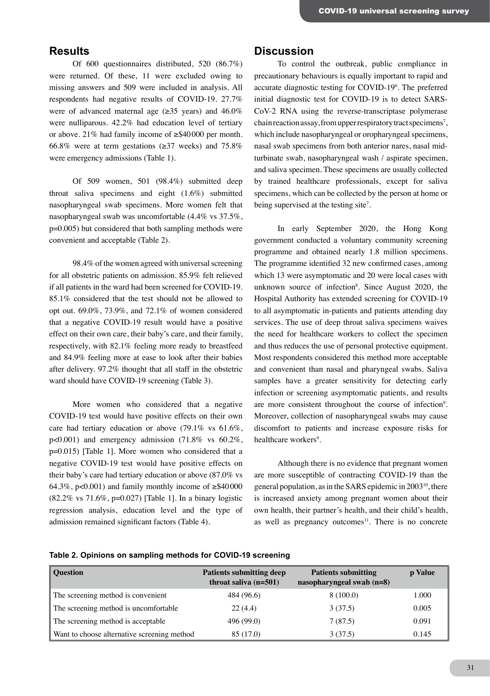## **Results**

Of 600 questionnaires distributed, 520 (86.7%) were returned. Of these, 11 were excluded owing to missing answers and 509 were included in analysis. All respondents had negative results of COVID-19. 27.7% were of advanced maternal age ( $\geq$ 35 years) and 46.0% were nulliparous. 42.2% had education level of tertiary or above. 21% had family income of ≥\$40000 per month. 66.8% were at term gestations ( $\geq$ 37 weeks) and 75.8% were emergency admissions (Table 1).

Of 509 women, 501 (98.4%) submitted deep throat saliva specimens and eight (1.6%) submitted nasopharyngeal swab specimens. More women felt that nasopharyngeal swab was uncomfortable (4.4% vs 37.5%, p=0.005) but considered that both sampling methods were convenient and acceptable (Table 2).

98.4% of the women agreed with universal screening for all obstetric patients on admission. 85.9% felt relieved if all patients in the ward had been screened for COVID-19. 85.1% considered that the test should not be allowed to opt out. 69.0%, 73.9%, and 72.1% of women considered that a negative COVID-19 result would have a positive effect on their own care, their baby's care, and their family, respectively, with 82.1% feeling more ready to breastfeed and 84.9% feeling more at ease to look after their babies after delivery. 97.2% thought that all staff in the obstetric ward should have COVID-19 screening (Table 3).

More women who considered that a negative COVID-19 test would have positive effects on their own care had tertiary education or above (79.1% vs 61.6%,  $p<0.001$ ) and emergency admission (71.8% vs 60.2%, p=0.015) [Table 1]. More women who considered that a negative COVID-19 test would have positive effects on their baby's care had tertiary education or above (87.0% vs 64.3%, p<0.001) and family monthly income of  $\geq$ \$40000 (82.2% vs 71.6%, p=0.027) [Table 1]. In a binary logistic regression analysis, education level and the type of admission remained significant factors (Table 4).

## **Discussion**

To control the outbreak, public compliance in precautionary behaviours is equally important to rapid and accurate diagnostic testing for COVID-196 . The preferred initial diagnostic test for COVID-19 is to detect SARS-CoV-2 RNA using the reverse-transcriptase polymerase chain reaction assay, from upper respiratory tract specimens<sup>7</sup>, which include nasopharyngeal or oropharyngeal specimens, nasal swab specimens from both anterior nares, nasal midturbinate swab, nasopharyngeal wash / aspirate specimen, and saliva specimen. These specimens are usually collected by trained healthcare professionals, except for saliva specimens, which can be collected by the person at home or being supervised at the testing site<sup>7</sup>.

In early September 2020, the Hong Kong government conducted a voluntary community screening programme and obtained nearly 1.8 million specimens. The programme identified 32 new confirmed cases, among which 13 were asymptomatic and 20 were local cases with unknown source of infection<sup>8</sup>. Since August 2020, the Hospital Authority has extended screening for COVID-19 to all asymptomatic in-patients and patients attending day services. The use of deep throat saliva specimens waives the need for healthcare workers to collect the specimen and thus reduces the use of personal protective equipment. Most respondents considered this method more acceptable and convenient than nasal and pharyngeal swabs. Saliva samples have a greater sensitivity for detecting early infection or screening asymptomatic patients, and results are more consistent throughout the course of infection<sup>9</sup>. Moreover, collection of nasopharyngeal swabs may cause discomfort to patients and increase exposure risks for healthcare workers<sup>9</sup>.

Although there is no evidence that pregnant women are more susceptible of contracting COVID-19 than the general population, as in the SARS epidemic in 200310, there is increased anxiety among pregnant women about their own health, their partner's health, and their child's health, as well as pregnancy outcomes $11$ . There is no concrete

|  |  |  |  | Table 2. Opinions on sampling methods for COVID-19 screening |  |
|--|--|--|--|--------------------------------------------------------------|--|
|--|--|--|--|--------------------------------------------------------------|--|

| <b>Ouestion</b>                             | <b>Patients submitting deep</b><br>throat saliva $(n=501)$ | <b>Patients submitting</b><br>nasopharyngeal swab (n=8) | p Value |
|---------------------------------------------|------------------------------------------------------------|---------------------------------------------------------|---------|
| The screening method is convenient          | 484 (96.6)                                                 | 8(100.0)                                                | 1.000   |
| The screening method is uncomfortable       | 22(4.4)                                                    | 3(37.5)                                                 | 0.005   |
| The screening method is acceptable          | 496 (99.0)                                                 | 7(87.5)                                                 | 0.091   |
| Want to choose alternative screening method | 85 (17.0)                                                  | 3(37.5)                                                 | 0.145   |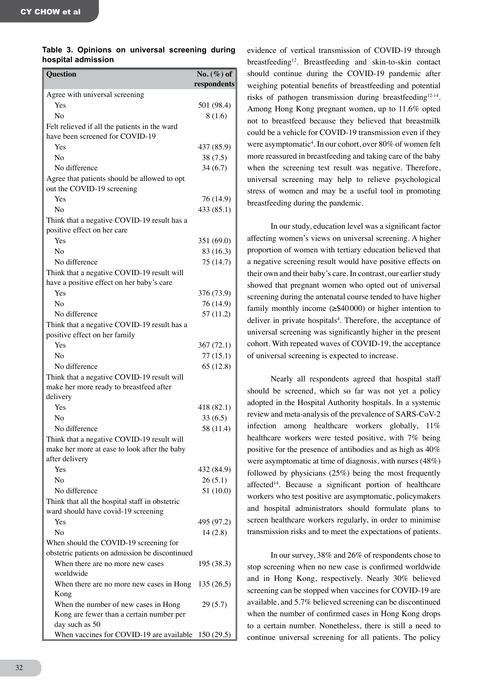#### **Table 3. Opinions on universal screening during hospital admission**

| <b>Ouestion</b>                                            | $No. (\%) of$ |
|------------------------------------------------------------|---------------|
|                                                            | respondents   |
| Agree with universal screening                             |               |
| Yes                                                        | 501 (98.4)    |
| No                                                         | 8(1.6)        |
| Felt relieved if all the patients in the ward              |               |
| have been screened for COVID-19                            |               |
| Yes                                                        | 437 (85.9)    |
| No                                                         | 38(7.5)       |
| No difference                                              | 34(6.7)       |
| Agree that patients should be allowed to opt               |               |
| out the COVID-19 screening<br>Yes                          |               |
| No                                                         | 76 (14.9)     |
| Think that a negative COVID-19 result has a                | 433 (85.1)    |
| positive effect on her care                                |               |
| Yes                                                        | 351 (69.0)    |
| Nο                                                         | 83 (16.3)     |
| No difference                                              | 75(14.7)      |
| Think that a negative COVID-19 result will                 |               |
| have a positive effect on her baby's care                  |               |
| Yes                                                        | 376 (73.9)    |
| No                                                         | 76 (14.9)     |
| No difference                                              | 57(11.2)      |
| Think that a negative COVID-19 result has a                |               |
| positive effect on her family                              |               |
| Yes                                                        | 367 (72.1)    |
| No                                                         | 77(15.1)      |
| No difference                                              | 65(12.8)      |
| Think that a negative COVID-19 result will                 |               |
| make her more ready to breastfeed after                    |               |
| delivery                                                   |               |
| Yes                                                        | 418 (82.1)    |
| No                                                         | 33(6.5)       |
| No difference                                              | 58 (11.4)     |
| Think that a negative COVID-19 result will                 |               |
| make her more at ease to look after the baby               |               |
| after delivery                                             |               |
| Yes                                                        | 432 (84.9)    |
| Nο                                                         | 26(5.1)       |
| No difference                                              | 51(10.0)      |
| Think that all the hospital staff in obstetric             |               |
| ward should have covid-19 screening                        |               |
| Yes                                                        | 495 (97.2)    |
| N <sub>0</sub>                                             | 14(2.8)       |
| When should the COVID-19 screening for                     |               |
| obstetric patients on admission be discontinued            |               |
| When there are no more new cases                           | 195 (38.3)    |
| worldwide                                                  |               |
| When there are no more new cases in Hong                   | 135(26.5)     |
| Kong                                                       |               |
| When the number of new cases in Hong                       | 29(5.7)       |
| Kong are fewer than a certain number per                   |               |
| day such as 50<br>When vaccines for COVID-19 are available |               |
|                                                            | 150(29.5)     |

evidence of vertical transmission of COVID-19 through breastfeeding<sup>12</sup>. Breastfeeding and skin-to-skin contact should continue during the COVID-19 pandemic after weighing potential benefits of breastfeeding and potential risks of pathogen transmission during breastfeeding<sup>12-14</sup>. Among Hong Kong pregnant women, up to 11.6% opted not to breastfeed because they believed that breastmilk could be a vehicle for COVID-19 transmission even if they were asymptomatic<sup>4</sup>. In our cohort, over 80% of women felt more reassured in breastfeeding and taking care of the baby when the screening test result was negative. Therefore, universal screening may help to relieve psychological stress of women and may be a useful tool in promoting breastfeeding during the pandemic.

In our study, education level was a significant factor affecting women's views on universal screening. A higher proportion of women with tertiary education believed that a negative screening result would have positive effects on their own and their baby's care. In contrast, our earlier study showed that pregnant women who opted out of universal screening during the antenatal course tended to have higher family monthly income  $(\geq$ \$40000) or higher intention to deliver in private hospitals<sup>4</sup>. Therefore, the acceptance of universal screening was significantly higher in the present cohort. With repeated waves of COVID-19, the acceptance of universal screening is expected to increase.

Nearly all respondents agreed that hospital staff should be screened, which so far was not yet a policy adopted in the Hospital Authority hospitals. In a systemic review and meta-analysis of the prevalence of SARS-CoV-2 infection among healthcare workers globally, 11% healthcare workers were tested positive, with 7% being positive for the presence of antibodies and as high as 40% were asymptomatic at time of diagnosis, with nurses (48%) followed by physicians (25%) being the most frequently affected<sup>14</sup>. Because a significant portion of healthcare workers who test positive are asymptomatic, policymakers and hospital administrators should formulate plans to screen healthcare workers regularly, in order to minimise transmission risks and to meet the expectations of patients.

In our survey, 38% and 26% of respondents chose to stop screening when no new case is confirmed worldwide and in Hong Kong, respectively. Nearly 30% believed screening can be stopped when vaccines for COVID-19 are available, and 5.7% believed screening can be discontinued when the number of confirmed cases in Hong Kong drops to a certain number. Nonetheless, there is still a need to continue universal screening for all patients. The policy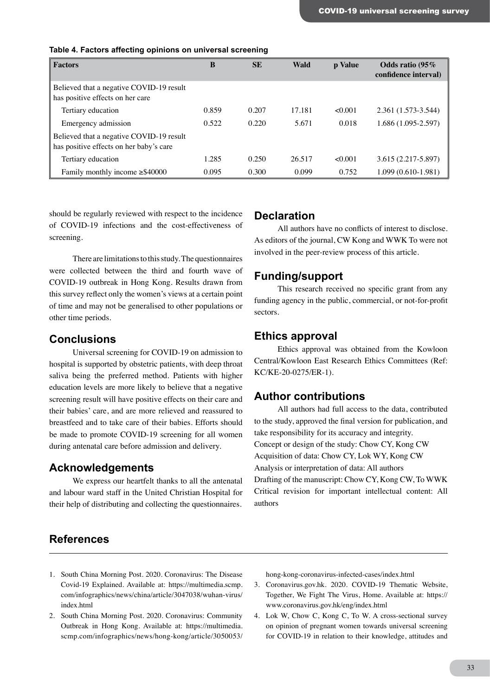| <b>Factors</b>                                                                      | B     | <b>SE</b> | Wald   | p Value | Odds ratio (95%)<br>confidence interval) |
|-------------------------------------------------------------------------------------|-------|-----------|--------|---------|------------------------------------------|
| Believed that a negative COVID-19 result<br>has positive effects on her care        |       |           |        |         |                                          |
| Tertiary education                                                                  | 0.859 | 0.207     | 17.181 | <0.001  | 2.361 (1.573-3.544)                      |
| Emergency admission                                                                 | 0.522 | 0.220     | 5.671  | 0.018   | 1.686 (1.095-2.597)                      |
| Believed that a negative COVID-19 result<br>has positive effects on her baby's care |       |           |        |         |                                          |
| Tertiary education                                                                  | 1.285 | 0.250     | 26.517 | <0.001  | 3.615 (2.217-5.897)                      |
| Family monthly income $\geq$ \$40000                                                | 0.095 | 0.300     | 0.099  | 0.752   | $1.099(0.610-1.981)$                     |

#### **Table 4. Factors affecting opinions on universal screening**

should be regularly reviewed with respect to the incidence of COVID-19 infections and the cost-effectiveness of screening.

There are limitations to this study. The questionnaires were collected between the third and fourth wave of COVID-19 outbreak in Hong Kong. Results drawn from this survey reflect only the women's views at a certain point of time and may not be generalised to other populations or other time periods.

#### **Conclusions**

Universal screening for COVID-19 on admission to hospital is supported by obstetric patients, with deep throat saliva being the preferred method. Patients with higher education levels are more likely to believe that a negative screening result will have positive effects on their care and their babies' care, and are more relieved and reassured to breastfeed and to take care of their babies. Efforts should be made to promote COVID-19 screening for all women during antenatal care before admission and delivery.

## **Acknowledgements**

We express our heartfelt thanks to all the antenatal and labour ward staff in the United Christian Hospital for their help of distributing and collecting the questionnaires.

## **Declaration**

All authors have no conflicts of interest to disclose. As editors of the journal, CW Kong and WWK To were not involved in the peer-review process of this article.

## **Funding/support**

This research received no specific grant from any funding agency in the public, commercial, or not-for-profit sectors.

## **Ethics approval**

Ethics approval was obtained from the Kowloon Central/Kowloon East Research Ethics Committees (Ref: KC/KE-20-0275/ER-1).

## **Author contributions**

All authors had full access to the data, contributed to the study, approved the final version for publication, and take responsibility for its accuracy and integrity. Concept or design of the study: Chow CY, Kong CW Acquisition of data: Chow CY, Lok WY, Kong CW Analysis or interpretation of data: All authors Drafting of the manuscript: Chow CY, Kong CW, To WWK Critical revision for important intellectual content: All authors

## **References**

- 1. South China Morning Post. 2020. Coronavirus: The Disease Covid-19 Explained. Available at: https://multimedia.scmp. com/infographics/news/china/article/3047038/wuhan-virus/ index.html
- 2. South China Morning Post. 2020. Coronavirus: Community Outbreak in Hong Kong. Available at: https://multimedia. scmp.com/infographics/news/hong-kong/article/3050053/

hong-kong-coronavirus-infected-cases/index.html

- 3. Coronavirus.gov.hk. 2020. COVID-19 Thematic Website, Together, We Fight The Virus, Home. Available at: https:// www.coronavirus.gov.hk/eng/index.html
- 4. Lok W, Chow C, Kong C, To W. A cross-sectional survey on opinion of pregnant women towards universal screening for COVID-19 in relation to their knowledge, attitudes and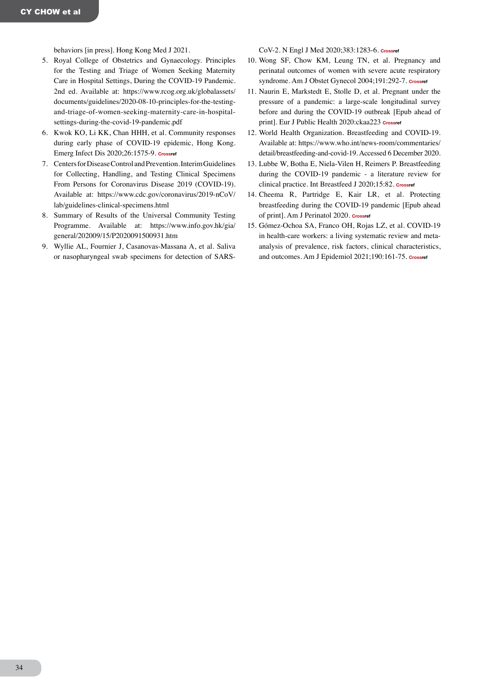behaviors [in press]. Hong Kong Med J 2021.

- 5. Royal College of Obstetrics and Gynaecology. Principles for the Testing and Triage of Women Seeking Maternity Care in Hospital Settings, During the COVID-19 Pandemic. 2nd ed. Available at: https://www.rcog.org.uk/globalassets/ documents/guidelines/2020-08-10-principles-for-the-testingand-triage-of-women-seeking-maternity-care-in-hospitalsettings-during-the-covid-19-pandemic.pdf
- 6. Kwok KO, Li KK, Chan HHH, et al. Community responses during early phase of COVID-19 epidemic, Hong Kong. Emerg Infect Dis 2020;26:1575-9. **[Crossref](https://doi.org/10.3201/eid2607.200500)**
- 7. Centers for Disease Control and Prevention. Interim Guidelines for Collecting, Handling, and Testing Clinical Specimens From Persons for Coronavirus Disease 2019 (COVID-19). Available at: https://www.cdc.gov/coronavirus/2019-nCoV/ lab/guidelines-clinical-specimens.html
- 8. Summary of Results of the Universal Community Testing Programme. Available at: https://www.info.gov.hk/gia/ general/202009/15/P2020091500931.htm
- 9. Wyllie AL, Fournier J, Casanovas-Massana A, et al. Saliva or nasopharyngeal swab specimens for detection of SARS-

CoV-2. N Engl J Med 2020;383:1283-6. **[Crossref](https://doi.org/10.1056/NEJMc2016359)**

- 10. Wong SF, Chow KM, Leung TN, et al. Pregnancy and perinatal outcomes of women with severe acute respiratory syndrome. Am J Obstet Gynecol 2004;191:292-7. **[Crossref](https://doi.org/10.1016/j.ajog.2003.11.019)**
- 11. Naurin E, Markstedt E, Stolle D, et al. Pregnant under the pressure of a pandemic: a large-scale longitudinal survey before and during the COVID-19 outbreak [Epub ahead of print]. Eur J Public Health 2020:ckaa223 crossref
- 12. World Health Organization. Breastfeeding and COVID-19. Available at: https://www.who.int/news-room/commentaries/ detail/breastfeeding-and-covid-19. Accessed 6 December 2020.
- 13. Lubbe W, Botha E, Niela-Vilen H, Reimers P. Breastfeeding during the COVID-19 pandemic - a literature review for clinical practice. Int Breastfeed J 2020;15:82. **[Crossref](https://doi.org/10.1186/s13006-020-00319-3)**
- 14. Cheema R, Partridge E, Kair LR, et al. Protecting breastfeeding during the COVID-19 pandemic [Epub ahead of print]. Am J Perinatol 2020. **[Crossref](https://doi.org/10.1055/s-0040-1714277)**
- 15. Gómez-Ochoa SA, Franco OH, Rojas LZ, et al. COVID-19 in health-care workers: a living systematic review and metaanalysis of prevalence, risk factors, clinical characteristics, and outcomes. Am J Epidemiol 2021;190:161-75. **[Crossref](https://doi.org/10.1093/aje/kwaa191)**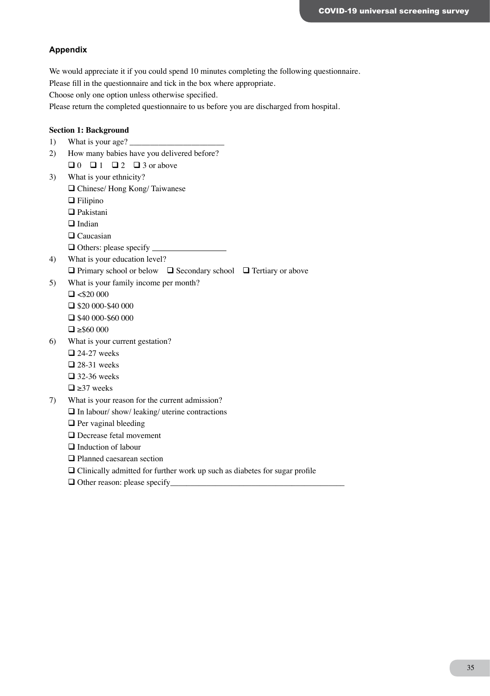#### **Appendix**

We would appreciate it if you could spend 10 minutes completing the following questionnaire.

Please fill in the questionnaire and tick in the box where appropriate.

Choose only one option unless otherwise specified.

Please return the completed questionnaire to us before you are discharged from hospital.

#### **Section 1: Background**

- 1) What is your age?
- 2) How many babies have you delivered before?
	- $\Box$  0  $\Box$  1  $\Box$  2  $\Box$  3 or above
- 3) What is your ethnicity?
	- Chinese/ Hong Kong/ Taiwanese
	- □ Filipino
	- **□** Pakistani
	- $\Box$  Indian
	- □ Caucasian
	- Others: please specify
- 4) What is your education level?
	- $\Box$  Primary school or below  $\Box$  Secondary school  $\Box$  Tertiary or above
- 5) What is your family income per month?
	- $\Box$  <\$20 000  $\Box$  \$20 000-\$40 000
	- $\Box$  \$40 000-\$60 000
	- $\Box \geq $60,000$
- 6) What is your current gestation?
	- $\Box$  24-27 weeks
	- $\square$  28-31 weeks
	- $\Box$  32-36 weeks
	- $\Box \geq 37$  weeks
- 7) What is your reason for the current admission?
	- $\Box$  In labour/ show/ leaking/ uterine contractions
	- $\Box$  Per vaginal bleeding
	- □ Decrease fetal movement
	- □ Induction of labour
	- □ Planned caesarean section
	- Clinically admitted for further work up such as diabetes for sugar profile
	- $\Box$  Other reason: please specify